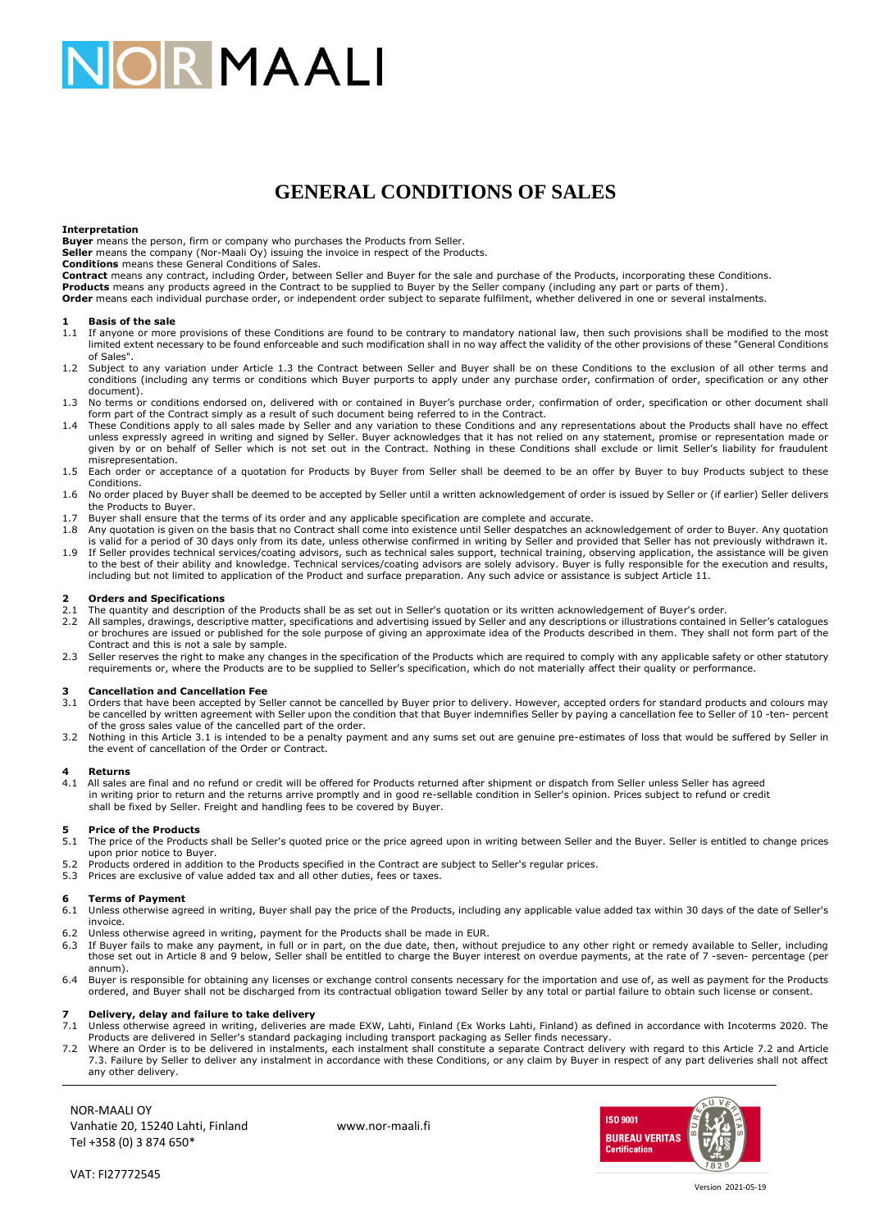# **JORMAALI**

# **GENERAL CONDITIONS OF SALES**

### **Interpretation**

**Buyer** means the person, firm or company who purchases the Products from Seller.

**Seller** means the company (Nor-Maali Oy) issuing the invoice in respect of the Products. **Conditions** means these General Conditions of Sales.

Contract means any contract, including Order, between Seller and Buyer for the sale and purchase of the Products, incorporating these Conditions.<br>Products means any products agreed in the Contract to be supplied to Buyer b

**Order** means each individual purchase order, or independent order subject to separate fulfilment, whether delivered in one or several instalments.

#### **1 Basis of the sale**

- 1.1 If anyone or more provisions of these Conditions are found to be contrary to mandatory national law, then such provisions shall be modified to the most limited extent necessary to be found enforceable and such modification shall in no way affect the validity of the other provisions of these "General Conditions of Sales".
- 1.2 Subject to any variation under Article 1.3 the Contract between Seller and Buyer shall be on these Conditions to the exclusion of all other terms and conditions (including any terms or conditions which Buyer purports to apply under any purchase order, confirmation of order, specification or any other document).
- 1.3 No terms or conditions endorsed on, delivered with or contained in Buyer's purchase order, confirmation of order, specification or other document shall form part of the Contract simply as a result of such document bein
- 1.4 These Conditions apply to all sales made by Seller and any variation to these Conditions and any representations about the Products shall have no effect unless expressly agreed in writing and signed by Seller. Buyer acknowledges that it has not relied on any statement, promise or representation made or given by or on behalf of Seller which is not set out in the Contract. Nothing in these Conditions shall exclude or limit Seller's liability for fraudulent misrepresentation.
- 1.5 Each order or acceptance of a quotation for Products by Buyer from Seller shall be deemed to be an offer by Buyer to buy Products subject to these Conditions.
- 1.6 No order placed by Buyer shall be deemed to be accepted by Seller until a written acknowledgement of order is issued by Seller or (if earlier) Seller delivers the Products to Buyer.
- 1.7 Buyer shall ensure that the terms of its order and any applicable specification are complete and accurate.
- 1.8 Any quotation is given on the basis that no Contract shall come into existence until Seller despatches an acknowledgement of order to Buyer. Any quotation is valid for a period of 30 days only from its date, unless otherwise confirmed in writing by Seller and provided that Seller has not previously withdrawn it. 1.9 If Seller provides technical services/coating advisors, such as technical sales support, technical training, observing application, the assistance will be given<br>to the best of their ability and knowledge. Technical ser
- including but not limited to application of the Product and surface preparation. Any such advice or assistance is subject Article 11.

# **2 Orders and Specifications**

- 2.1 The quantity and description of the Products shall be as set out in Seller's quotation or its written acknowledgement of Buyer's order.<br>2.2 All samples, drawings, descriptive matter, specifications and advertising issu 2.2 All samples, drawings, descriptive matter, specifications and advertising issued by Seller and any descriptions or illustrations contained in Seller's catalogues or brochures are issued or published for the sole purpose of giving an approximate idea of the Products described in them. They shall not form part of the Contract and this is not a sale by sample.
- 2.3 Seller reserves the right to make any changes in the specification of the Products which are required to comply with any applicable safety or other statutory requirements or, where the Products are to be supplied to Seller's specification, which do not materially affect their quality or performance.

## **3 Cancellation and Cancellation Fee**

- 3.1 Orders that have been accepted by Seller cannot be cancelled by Buyer prior to delivery. However, accepted orders for standard products and colours may<br>be cancelled by written agreement with Seller upon the condition t of the gross sales value of the cancelled part of the order.
- 3.2 Nothing in this Article 3.1 is intended to be a penalty payment and any sums set out are genuine pre-estimates of loss that would be suffered by Seller in the event of cancellation of the Order or Contract.

# **4 Returns**

All sales are final and no refund or credit will be offered for Products returned after shipment or dispatch from Seller unless Seller has agreed in writing prior to return and the returns arrive promptly and in good re-sellable condition in Seller's opinion. Prices subject to refund or credit shall be fixed by Seller. Freight and handling fees to be covered by Buyer.

# **5 Price of the Products**<br>**5.1** The price of the Product

- The price of the Products shall be Seller's quoted price or the price agreed upon in writing between Seller and the Buyer. Seller is entitled to change prices upon prior notice to Buyer.
- 5.2 Products ordered in addition to the Products specified in the Contract are subject to Seller's regular prices.
- 5.3 Prices are exclusive of value added tax and all other duties, fees or taxes.

### **6 Terms of Payment**

- 6.1 Unless otherwise agreed in writing, Buyer shall pay the price of the Products, including any applicable value added tax within 30 days of the date of Seller's invoice.
- 6.2 Unless otherwise agreed in writing, payment for the Products shall be made in EUR.
- 6.3 If Buyer fails to make any payment, in full or in part, on the due date, then, without prejudice to any other right or remedy available to Seller, including<br>those set out in Article 8 and 9 below, Seller shall be entit annum).
- 6.4 Buyer is responsible for obtaining any licenses or exchange control consents necessary for the importation and use of, as well as payment for the Products ordered, and Buyer shall not be discharged from its contractual obligation toward Seller by any total or partial failure to obtain such license or consent.

## **7 Delivery, delay and failure to take delivery**

- 7.1 Unless otherwise agreed in writing, deliveries are made EXW, Lahti, Finland (Ex Works Lahti, Finland) as defined in accordance with Incoterms 2020. The<br>Products are delivered in Seller's standard packaging including tr
- 7.2 Where an Order is to be delivered in instalments, each instalment shall constitute a separate Contract delivery with regard to this Article 7.2 and Article 7.3. Failure by Seller to deliver any instalment in accordance with these Conditions, or any claim by Buyer in respect of any part deliveries shall not affect any other delivery.

NOR-MAALI OY Vanhatie 20, 15240 Lahti, Finland www.nor-maali.fi Tel +358 (0) 3 874 650\*



VAT: FI27772545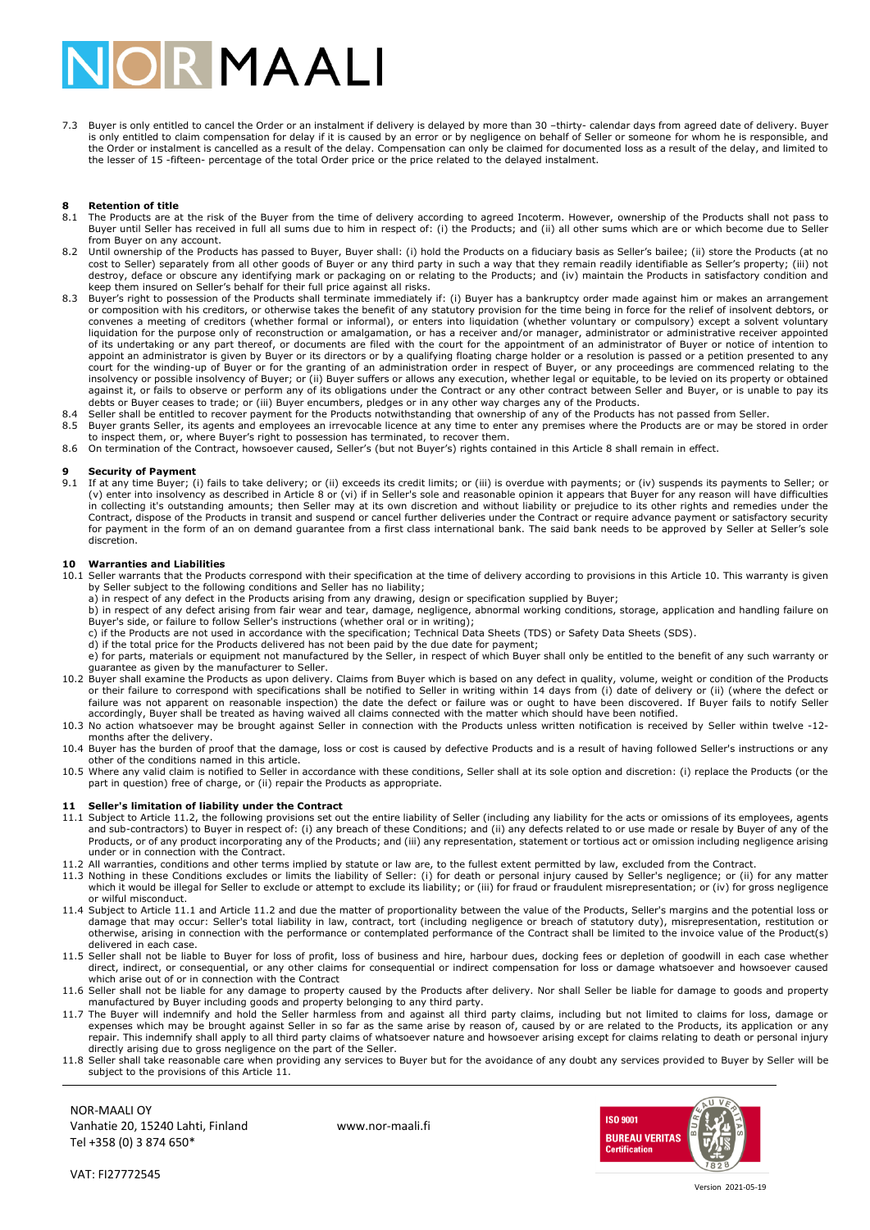# **DIR MAALI**

7.3 Buyer is only entitled to cancel the Order or an instalment if delivery is delayed by more than 30 –thirty- calendar days from agreed date of delivery. Buyer<br>is only entitled to claim compensation for delay if it is ca the Order or instalment is cancelled as a result of the delay. Compensation can only be claimed for documented loss as a result of the delay, and limited to the lesser of 15 -fifteen- percentage of the total Order price or the price related to the delayed instalment.

# **8 Retention of title**<br>8.1 The Products are a

- The Products are at the risk of the Buyer from the time of delivery according to agreed Incoterm. However, ownership of the Products shall not pass to Buyer until Seller has received in full all sums due to him in respect of: (i) the Products; and (ii) all other sums which are or which become due to Seller from Buyer on any account.
- 8.2 Until ownership of the Products has passed to Buyer, Buyer shall: (i) hold the Products on a fiduciary basis as Seller's bailee; (ii) store the Products (at no<br>cost to Seller's property; (iii) not<br>destroy, deface or ob keep them insured on Seller's behalf for their full price against all risks.
- 8.3 Buyer's right to possession of the Products shall terminate immediately if: (i) Buyer has a bankruptcy order made against him or makes an arrangement or composition with his creditors, or otherwise takes the benefit of any statutory provision for the time being in force for the relief of insolvent debtors, or convenes a meeting of creditors (whether formal or informal), or enters into liquidation (whether voluntary or compulsory) except a solvent voluntary<br>liquidation for the purpose only of reconstruction or amalgamation, or h of its undertaking or any part thereof, or documents are filed with the court for the appointment of an administrator of Buyer or notice of intention to appoint an administrator is given by Buyer or its directors or by a qualifying floating charge holder or a resolution is passed or a petition presented to any court for the winding-up of Buyer or for the granting of an administration order in respect of Buyer, or any proceedings are commenced relating to the<br>insolvency or possible insolvency of Buyer; or (ii) Buyer suffers or al
- debts or Buyer ceases to trade; or (iii) Buyer encumbers, pledges or in any other way charges any of the Products.<br>.8.4 Seller shall be entitled to recover payment for the Products notwithstanding that ownership of any of 8.5 Buyer grants Seller, its agents and employees an irrevocable licence at any time to enter any premises where the Products are or may be stored in order
- to inspect them, or, where Buyer's right to possession has terminated, to recover them.
- 8.6 On termination of the Contract, howsoever caused, Seller's (but not Buyer's) rights contained in this Article 8 shall remain in effect.

# **9 Security of Payment**<br>**9.1** If at any time Buyer: (

If at any time Buyer; (i) fails to take delivery; or (ii) exceeds its credit limits; or (iii) is overdue with payments; or (iv) suspends its payments to Seller; or (v) enter into insolvency as described in Article 8 or (vi) if in Seller's sole and reasonable opinion it appears that Buyer for any reason will have difficulties<br>in collecting it's outstanding amounts; then Seller may at Contract, dispose of the Products in transit and suspend or cancel further deliveries under the Contract or require advance payment or satisfactory security for payment in the form of an on demand guarantee from a first class international bank. The said bank needs to be approved by Seller at Seller's sole discretion.

## **10 Warranties and Liabilities**

- 10.1 Seller warrants that the Products correspond with their specification at the time of delivery according to provisions in this Article 10. This warranty is given<br>by Seller subject to the following conditions and Seller
	- a) in respect of any defect in the Products arising from any drawing, design or specification supplied by Buyer;
	- b) in respect of any defect arising from fair wear and tear, damage, negligence, abnormal working conditions, storage, application and handling failure on Buyer's side, or failure to follow Seller's instructions (whether oral or in writing);
	- c) if the Products are not used in accordance with the specification; Technical Data Sheets (TDS) or Safety Data Sheets (SDS).<br>d) if the total price for the Products delivered has not been paid by the due date for payment;
	-
	- e) for parts, materials or equipment not manufactured by the Seller, in respect of which Buyer shall only be entitled to the benefit of any such warranty or guarantee as given by the manufacturer to Seller.
- 10.2 Buyer shall examine the Products as upon delivery. Claims from Buyer which is based on any defect in quality, volume, weight or condition of the Products<br>or their failure to correspond with specifications shall be not
- 10.3 No action whatsoever may be brought against Seller in connection with the Products unless written notification is received by Seller within twelve -12 months after the delivery.
- 10.4 Buyer has the burden of proof that the damage, loss or cost is caused by defective Products and is a result of having followed Seller's instructions or any other of the conditions named in this article.
- 10.5 Where any valid claim is notified to Seller in accordance with these conditions, Seller shall at its sole option and discretion: (i) replace the Products (or the products (or the products (or the products (or the prod

## **11 Seller's limitation of liability under the Contract**

- 11.1 Subject to Article 11.2, the following provisions set out the entire liability of Seller (including any liability for the acts or omissions of its employees, agents and sub-contractors) to Buyer in respect of: (i) any breach of these Conditions; and (ii) any defects related to or use made or resale by Buyer of any of the<br>Products, or of any product incorporating any of the Products; a under or in connection with the Contract.
- 11.2 All warranties, conditions and other terms implied by statute or law are, to the fullest extent permitted by law, excluded from the Contract.
- 11.3 Nothing in these Conditions excludes or limits the liability of Seller: (i) for death or personal injury caused by Seller's negligence; or (ii) for any matter<br>which it would be illegal for Seller to exclude or attempt or wilful misconduct.
- 11.4 Subject to Article 11.1 and Article 11.2 and due the matter of proportionality between the value of the Products, Seller's margins and the potential loss or damage that may occur: Seller's total liability in law, contract, tort (including negligence or breach of statutory duty), misrepresentation, restitution or otherwise, arising in connection with the performance or contemplated performance of the Contract shall be limited to the invoice value of the Product(s) delivered in each case.
- 11.5 Seller shall not be liable to Buyer for loss of profit, loss of business and hire, harbour dues, docking fees or depletion of goodwill in each case whether direct, indirect, or consequential, or any other claims for consequential or indirect compensation for loss or damage whatsoever and howsoever caused which arise out of or in connection with the Contract
- 11.6 Seller shall not be liable for any damage to property caused by the Products after delivery. Nor shall Seller be liable for damage to goods and property manufactured by Buyer including goods and property belonging to any third party.<br>11.7 The Buyer will indemnify and hold the Seller harmless from and against all third party claims, including but not limited to claims for l
- expenses which may be brought against Seller in so far as the same arise by reason of, caused by or are related to the Products, its application or any<br>repair. This indemnify shall apply to all third party claims of whatso directly arising due to gross negligence on the part of the Seller.
- 11.8 Seller shall take reasonable care when providing any services to Buyer but for the avoidance of any doubt any services provided to Buyer by Seller will be subject to the provisions of this Article 11.

NOR-MAALI OY Vanhatie 20, 15240 Lahti, Finland www.nor-maali.fi Tel +358 (0) 3 874 650\*